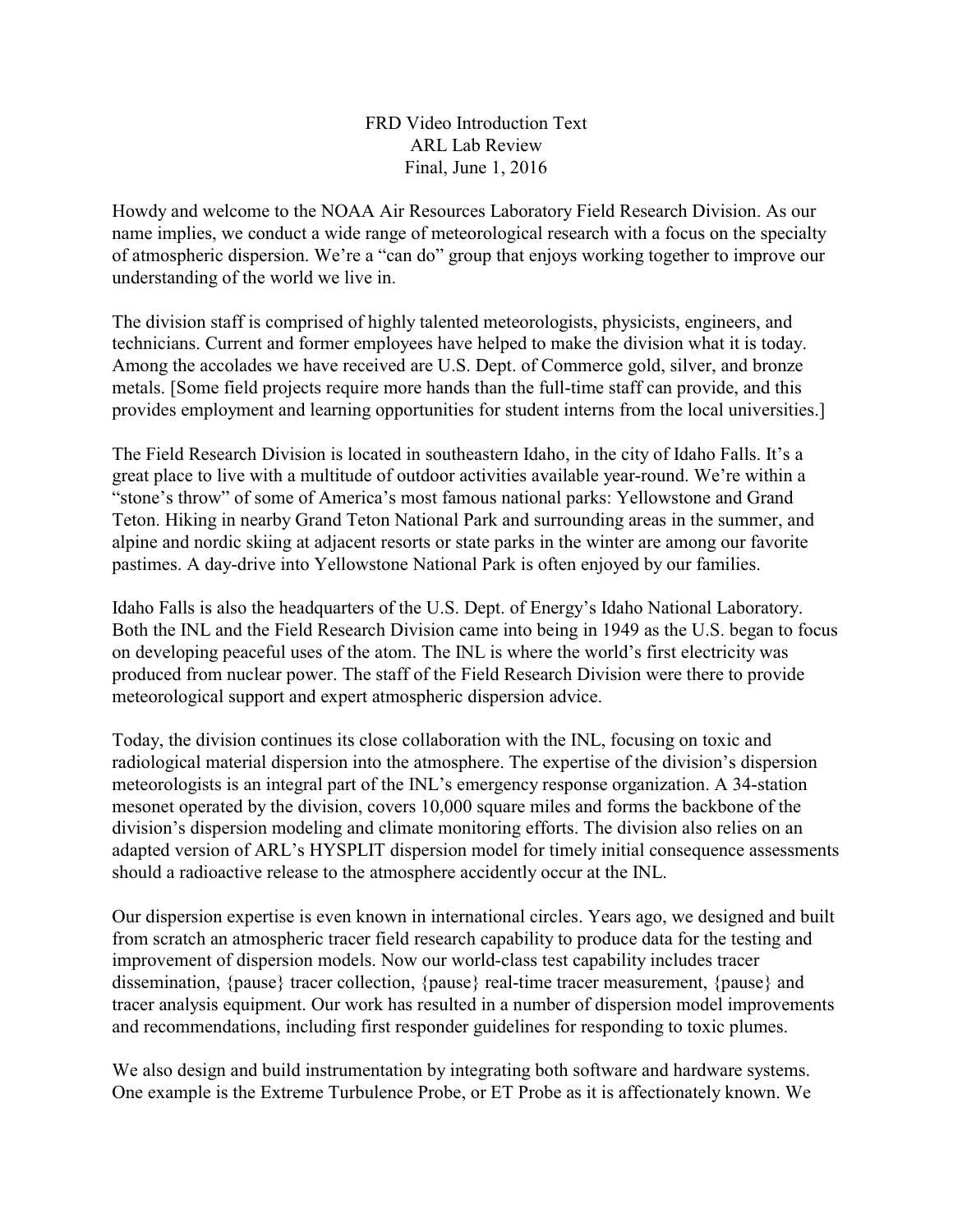FRD Video Introduction Text ARL Lab Review Final, June 1, 2016

Howdy and welcome to the NOAA Air Resources Laboratory Field Research Division. As our name implies, we conduct a wide range of meteorological research with a focus on the specialty of atmospheric dispersion. We're a "can do" group that enjoys working together to improve our understanding of the world we live in.

The division staff is comprised of highly talented meteorologists, physicists, engineers, and technicians. Current and former employees have helped to make the division what it is today. Among the accolades we have received are U.S. Dept. of Commerce gold, silver, and bronze metals. [Some field projects require more hands than the full-time staff can provide, and this provides employment and learning opportunities for student interns from the local universities.]

The Field Research Division is located in southeastern Idaho, in the city of Idaho Falls. It's a great place to live with a multitude of outdoor activities available year-round. We're within a "stone's throw" of some of America's most famous national parks: Yellowstone and Grand Teton. Hiking in nearby Grand Teton National Park and surrounding areas in the summer, and alpine and nordic skiing at adjacent resorts or state parks in the winter are among our favorite pastimes. A day-drive into Yellowstone National Park is often enjoyed by our families.

Idaho Falls is also the headquarters of the U.S. Dept. of Energy's Idaho National Laboratory. Both the INL and the Field Research Division came into being in 1949 as the U.S. began to focus on developing peaceful uses of the atom. The INL is where the world's first electricity was produced from nuclear power. The staff of the Field Research Division were there to provide meteorological support and expert atmospheric dispersion advice.

Today, the division continues its close collaboration with the INL, focusing on toxic and radiological material dispersion into the atmosphere. The expertise of the division's dispersion meteorologists is an integral part of the INL's emergency response organization. A 34-station mesonet operated by the division, covers 10,000 square miles and forms the backbone of the division's dispersion modeling and climate monitoring efforts. The division also relies on an adapted version of ARL's HYSPLIT dispersion model for timely initial consequence assessments should a radioactive release to the atmosphere accidently occur at the INL.

Our dispersion expertise is even known in international circles. Years ago, we designed and built from scratch an atmospheric tracer field research capability to produce data for the testing and improvement of dispersion models. Now our world-class test capability includes tracer dissemination, {pause} tracer collection, {pause} real-time tracer measurement, {pause} and tracer analysis equipment. Our work has resulted in a number of dispersion model improvements and recommendations, including first responder guidelines for responding to toxic plumes.

We also design and build instrumentation by integrating both software and hardware systems. One example is the Extreme Turbulence Probe, or ET Probe as it is affectionately known. We